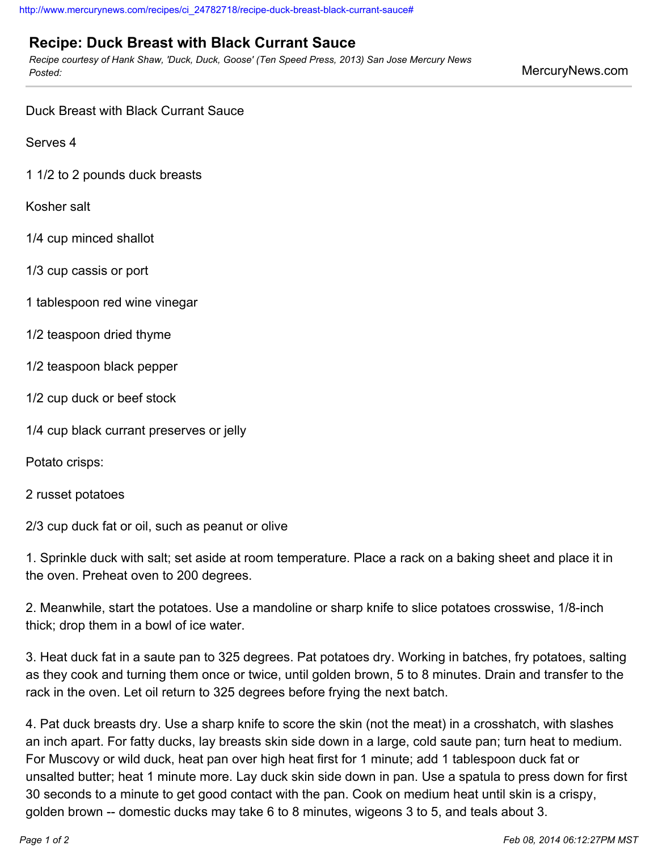## **Recipe: Duck Breast with Black Currant Sauce**

*Recipe courtesy of Hank Shaw, 'Duck, Duck, Goose' (Ten Speed Press, 2013) San Jose Mercury News Posted:* MercuryNews.com

Duck Breast with Black Currant Sauce

Serves 4

1 1/2 to 2 pounds duck breasts

Kosher salt

- 1/4 cup minced shallot
- 1/3 cup cassis or port
- 1 tablespoon red wine vinegar
- 1/2 teaspoon dried thyme
- 1/2 teaspoon black pepper
- 1/2 cup duck or beef stock
- 1/4 cup black currant preserves or jelly

Potato crisps:

## 2 russet potatoes

2/3 cup duck fat or oil, such as peanut or olive

1. Sprinkle duck with salt; set aside at room temperature. Place a rack on a baking sheet and place it in the oven. Preheat oven to 200 degrees.

2. Meanwhile, start the potatoes. Use a mandoline or sharp knife to slice potatoes crosswise, 1/8-inch thick; drop them in a bowl of ice water.

3. Heat duck fat in a saute pan to 325 degrees. Pat potatoes dry. Working in batches, fry potatoes, salting as they cook and turning them once or twice, until golden brown, 5 to 8 minutes. Drain and transfer to the rack in the oven. Let oil return to 325 degrees before frying the next batch.

4. Pat duck breasts dry. Use a sharp knife to score the skin (not the meat) in a crosshatch, with slashes an inch apart. For fatty ducks, lay breasts skin side down in a large, cold saute pan; turn heat to medium. For Muscovy or wild duck, heat pan over high heat first for 1 minute; add 1 tablespoon duck fat or unsalted butter; heat 1 minute more. Lay duck skin side down in pan. Use a spatula to press down for first 30 seconds to a minute to get good contact with the pan. Cook on medium heat until skin is a crispy, golden brown -- domestic ducks may take 6 to 8 minutes, wigeons 3 to 5, and teals about 3.